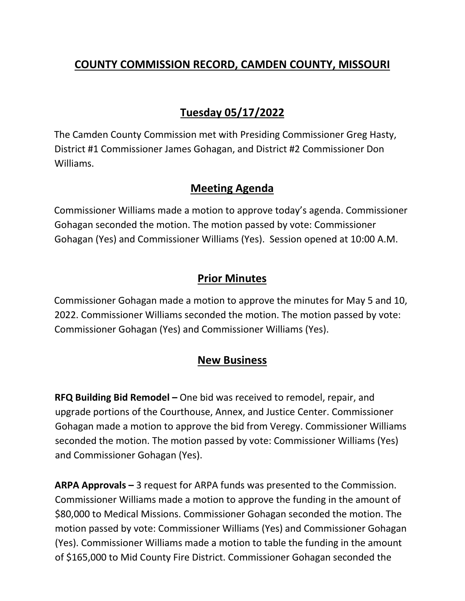## **COUNTY COMMISSION RECORD, CAMDEN COUNTY, MISSOURI**

# **Tuesday 05/17/2022**

The Camden County Commission met with Presiding Commissioner Greg Hasty, District #1 Commissioner James Gohagan, and District #2 Commissioner Don Williams.

#### **Meeting Agenda**

Commissioner Williams made a motion to approve today's agenda. Commissioner Gohagan seconded the motion. The motion passed by vote: Commissioner Gohagan (Yes) and Commissioner Williams (Yes). Session opened at 10:00 A.M.

### **Prior Minutes**

Commissioner Gohagan made a motion to approve the minutes for May 5 and 10, 2022. Commissioner Williams seconded the motion. The motion passed by vote: Commissioner Gohagan (Yes) and Commissioner Williams (Yes).

#### **New Business**

**RFQ Building Bid Remodel –** One bid was received to remodel, repair, and upgrade portions of the Courthouse, Annex, and Justice Center. Commissioner Gohagan made a motion to approve the bid from Veregy. Commissioner Williams seconded the motion. The motion passed by vote: Commissioner Williams (Yes) and Commissioner Gohagan (Yes).

**ARPA Approvals –** 3 request for ARPA funds was presented to the Commission. Commissioner Williams made a motion to approve the funding in the amount of \$80,000 to Medical Missions. Commissioner Gohagan seconded the motion. The motion passed by vote: Commissioner Williams (Yes) and Commissioner Gohagan (Yes). Commissioner Williams made a motion to table the funding in the amount of \$165,000 to Mid County Fire District. Commissioner Gohagan seconded the